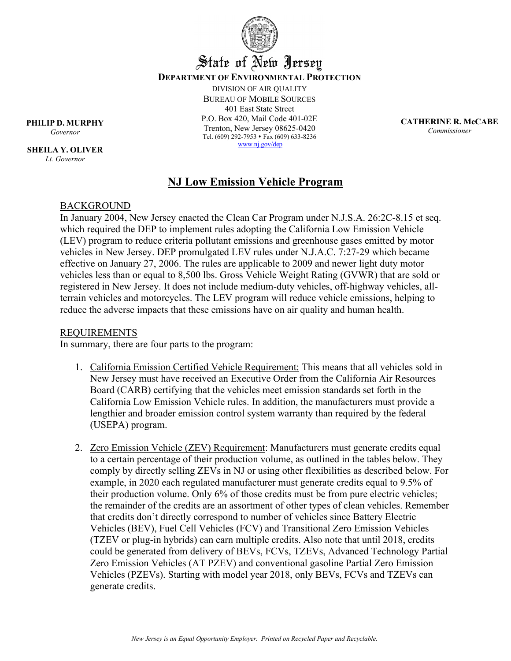

# State of New Jersey **DEPARTMENT OF ENVIRONMENTAL PROTECTION**

DIVISION OF AIR QUALITY BUREAU OF MOBILE SOURCES 401 East State Street P.O. Box 420, Mail Code 401-02E Trenton, New Jersey 08625-0420 Tel. (609) 292-7953 Fax (609) 633-8236 [www.nj.gov/dep](http://www.nj.gov/dep) 

**CATHERINE R. McCABE** *Commissioner*

**PHILIP D. MURPHY**

*Governor*

**SHEILA Y. OLIVER** *Lt. Governor*

## **NJ Low Emission Vehicle Program**

#### BACKGROUND

In January 2004, New Jersey enacted the Clean Car Program under N.J.S.A. 26:2C-8.15 et seq. which required the DEP to implement rules adopting the California Low Emission Vehicle (LEV) program to reduce criteria pollutant emissions and greenhouse gases emitted by motor vehicles in New Jersey. DEP promulgated LEV rules under N.J.A.C. 7:27-29 which became effective on January 27, 2006. The rules are applicable to 2009 and newer light duty motor vehicles less than or equal to 8,500 lbs. Gross Vehicle Weight Rating (GVWR) that are sold or registered in New Jersey. It does not include medium-duty vehicles, off-highway vehicles, allterrain vehicles and motorcycles. The LEV program will reduce vehicle emissions, helping to reduce the adverse impacts that these emissions have on air quality and human health.

#### REQUIREMENTS

In summary, there are four parts to the program:

- 1. California Emission Certified Vehicle Requirement: This means that all vehicles sold in New Jersey must have received an Executive Order from the California Air Resources Board (CARB) certifying that the vehicles meet emission standards set forth in the California Low Emission Vehicle rules. In addition, the manufacturers must provide a lengthier and broader emission control system warranty than required by the federal (USEPA) program.
- 2. Zero Emission Vehicle (ZEV) Requirement: Manufacturers must generate credits equal to a certain percentage of their production volume, as outlined in the tables below. They comply by directly selling ZEVs in NJ or using other flexibilities as described below. For example, in 2020 each regulated manufacturer must generate credits equal to 9.5% of their production volume. Only 6% of those credits must be from pure electric vehicles; the remainder of the credits are an assortment of other types of clean vehicles. Remember that credits don't directly correspond to number of vehicles since Battery Electric Vehicles (BEV), Fuel Cell Vehicles (FCV) and Transitional Zero Emission Vehicles (TZEV or plug-in hybrids) can earn multiple credits. Also note that until 2018, credits could be generated from delivery of BEVs, FCVs, TZEVs, Advanced Technology Partial Zero Emission Vehicles (AT PZEV) and conventional gasoline Partial Zero Emission Vehicles (PZEVs). Starting with model year 2018, only BEVs, FCVs and TZEVs can generate credits.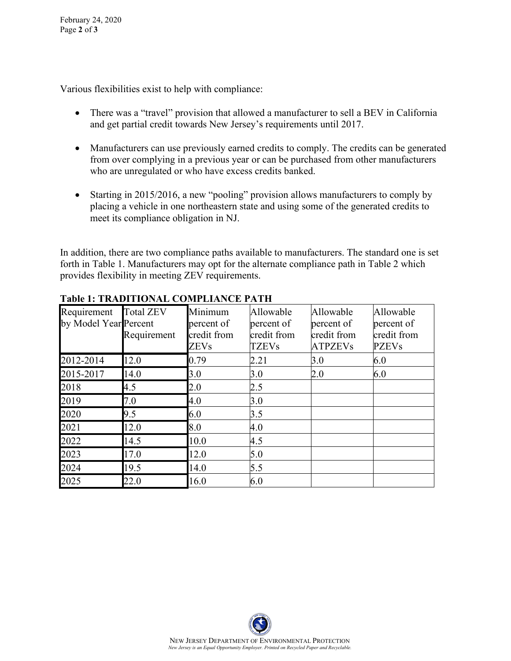Various flexibilities exist to help with compliance:

- There was a "travel" provision that allowed a manufacturer to sell a BEV in California and get partial credit towards New Jersey's requirements until 2017.
- Manufacturers can use previously earned credits to comply. The credits can be generated from over complying in a previous year or can be purchased from other manufacturers who are unregulated or who have excess credits banked.
- Starting in 2015/2016, a new "pooling" provision allows manufacturers to comply by placing a vehicle in one northeastern state and using some of the generated credits to meet its compliance obligation in NJ.

In addition, there are two compliance paths available to manufacturers. The standard one is set forth in Table 1. Manufacturers may opt for the alternate compliance path in Table 2 which provides flexibility in meeting ZEV requirements.

| Requirement<br>by Model Year Percent | <b>Total ZEV</b><br>Requirement | Minimum<br>percent of<br>credit from<br><b>ZEVs</b> | Allowable<br>percent of<br>credit from<br><b>TZEVs</b> | Allowable<br>percent of<br>credit from<br><b>ATPZEVs</b> | Allowable<br>percent of<br>credit from<br><b>PZEVs</b> |
|--------------------------------------|---------------------------------|-----------------------------------------------------|--------------------------------------------------------|----------------------------------------------------------|--------------------------------------------------------|
| 2012-2014                            | 12.0                            | 0.79                                                | 2.21                                                   | 3.0                                                      | 6.0                                                    |
| 2015-2017                            | 14.0                            | 3.0                                                 | 3.0                                                    | 2.0                                                      | 6.0                                                    |
| 2018                                 | 4.5                             | 2.0                                                 | 2.5                                                    |                                                          |                                                        |
| 2019                                 | 7.0                             | 4.0                                                 | 3.0                                                    |                                                          |                                                        |
| 2020                                 | 9.5                             | 6.0                                                 | 3.5                                                    |                                                          |                                                        |
| 2021                                 | 12.0                            | 8.0                                                 | 4.0                                                    |                                                          |                                                        |
| 2022                                 | 14.5                            | 10.0                                                | 4.5                                                    |                                                          |                                                        |
| 2023                                 | 17.0                            | 12.0                                                | 5.0                                                    |                                                          |                                                        |
| 2024                                 | 19.5                            | 14.0                                                | 5.5                                                    |                                                          |                                                        |
| 2025                                 | 22.0                            | 16.0                                                | 6.0                                                    |                                                          |                                                        |

#### **Table 1: TRADITIONAL COMPLIANCE PATH**